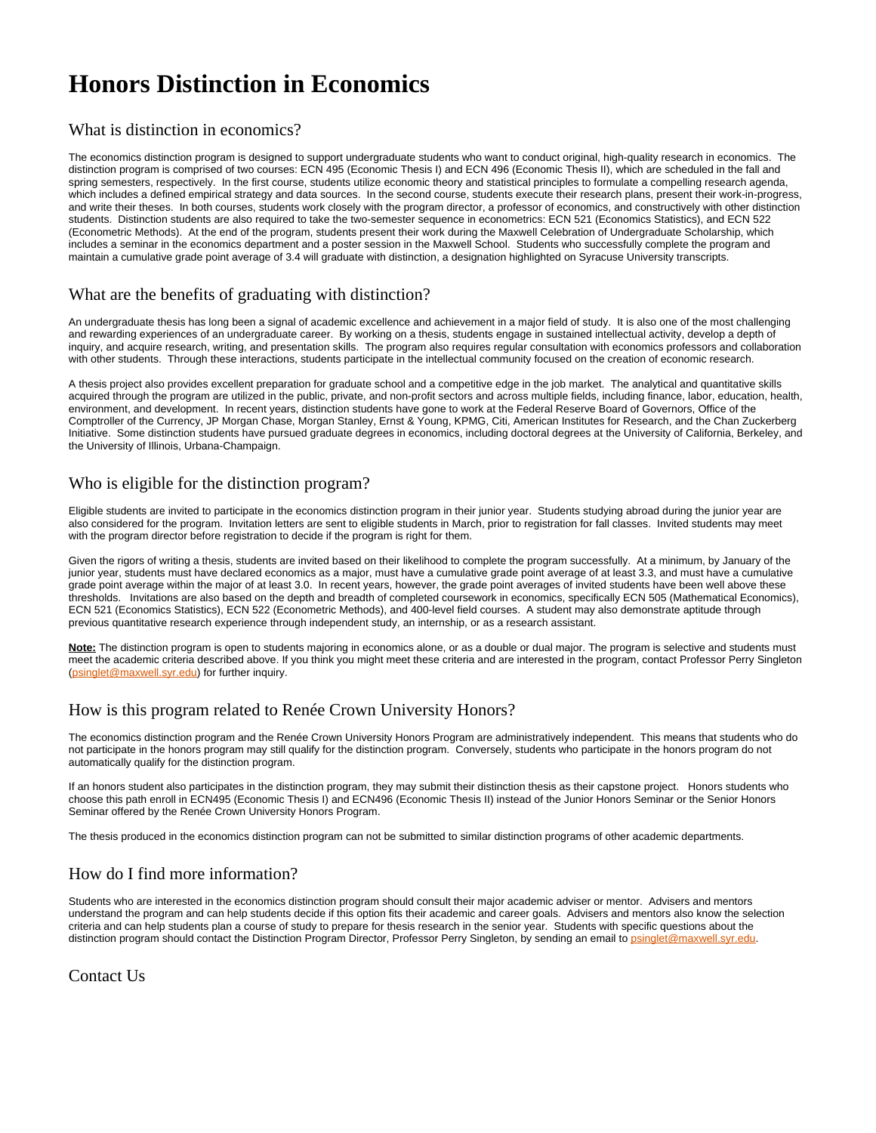# **Honors Distinction in Economics**

#### What is distinction in economics?

The economics distinction program is designed to support undergraduate students who want to conduct original, high-quality research in economics. The distinction program is comprised of two courses: ECN 495 (Economic Thesis I) and ECN 496 (Economic Thesis II), which are scheduled in the fall and spring semesters, respectively. In the first course, students utilize economic theory and statistical principles to formulate a compelling research agenda, which includes a defined empirical strategy and data sources. In the second course, students execute their research plans, present their work-in-progress, and write their theses. In both courses, students work closely with the program director, a professor of economics, and constructively with other distinction students. Distinction students are also required to take the two-semester sequence in econometrics: ECN 521 (Economics Statistics), and ECN 522 (Econometric Methods). At the end of the program, students present their work during the Maxwell Celebration of Undergraduate Scholarship, which includes a seminar in the economics department and a poster session in the Maxwell School. Students who successfully complete the program and maintain a cumulative grade point average of 3.4 will graduate with distinction, a designation highlighted on Syracuse University transcripts.

# What are the benefits of graduating with distinction?

An undergraduate thesis has long been a signal of academic excellence and achievement in a major field of study. It is also one of the most challenging and rewarding experiences of an undergraduate career. By working on a thesis, students engage in sustained intellectual activity, develop a depth of inquiry, and acquire research, writing, and presentation skills. The program also requires regular consultation with economics professors and collaboration with other students. Through these interactions, students participate in the intellectual community focused on the creation of economic research.

A thesis project also provides excellent preparation for graduate school and a competitive edge in the job market. The analytical and quantitative skills acquired through the program are utilized in the public, private, and non-profit sectors and across multiple fields, including finance, labor, education, health, environment, and development. In recent years, distinction students have gone to work at the Federal Reserve Board of Governors, Office of the Comptroller of the Currency, JP Morgan Chase, Morgan Stanley, Ernst & Young, KPMG, Citi, American Institutes for Research, and the Chan Zuckerberg Initiative. Some distinction students have pursued graduate degrees in economics, including doctoral degrees at the University of California, Berkeley, and the University of Illinois, Urbana-Champaign.

# Who is eligible for the distinction program?

Eligible students are invited to participate in the economics distinction program in their junior year. Students studying abroad during the junior year are also considered for the program. Invitation letters are sent to eligible students in March, prior to registration for fall classes. Invited students may meet with the program director before registration to decide if the program is right for them.

Given the rigors of writing a thesis, students are invited based on their likelihood to complete the program successfully. At a minimum, by January of the junior year, students must have declared economics as a major, must have a cumulative grade point average of at least 3.3, and must have a cumulative grade point average within the major of at least 3.0. In recent years, however, the grade point averages of invited students have been well above these thresholds. Invitations are also based on the depth and breadth of completed coursework in economics, specifically ECN 505 (Mathematical Economics), ECN 521 (Economics Statistics), ECN 522 (Econometric Methods), and 400-level field courses. A student may also demonstrate aptitude through previous quantitative research experience through independent study, an internship, or as a research assistant.

**Note:** The distinction program is open to students majoring in economics alone, or as a double or dual major. The program is selective and students must meet the academic criteria described above. If you think you might meet these criteria and are interested in the program, contact Professor Perry Singleton ([psinglet@maxwell.syr.edu\)](mailto:psinglet@maxwell.syr.edu) for further inquiry.

# How is this program related to Renée Crown University Honors?

The economics distinction program and the Renée Crown University Honors Program are administratively independent. This means that students who do not participate in the honors program may still qualify for the distinction program. Conversely, students who participate in the honors program do not automatically qualify for the distinction program.

If an honors student also participates in the distinction program, they may submit their distinction thesis as their capstone project. Honors students who choose this path enroll in ECN495 (Economic Thesis I) and ECN496 (Economic Thesis II) instead of the Junior Honors Seminar or the Senior Honors Seminar offered by the Renée Crown University Honors Program.

The thesis produced in the economics distinction program can not be submitted to similar distinction programs of other academic departments.

# How do I find more information?

Students who are interested in the economics distinction program should consult their major academic adviser or mentor. Advisers and mentors understand the program and can help students decide if this option fits their academic and career goals. Advisers and mentors also know the selection criteria and can help students plan a course of study to prepare for thesis research in the senior year. Students with specific questions about the distinction program should contact the Distinction Program Director, Professor Perry Singleton, by sending an email to [psinglet@maxwell.syr.edu](mailto:psinglet@maxwell.syr.edu).

Contact Us